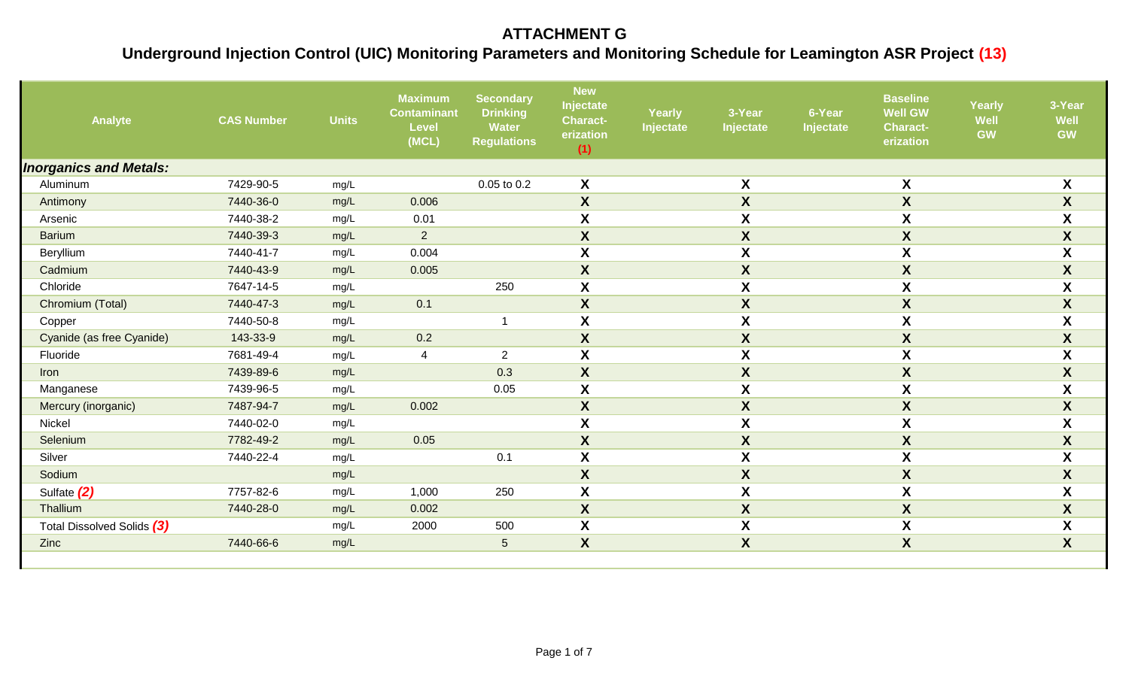| Analyte                       | <b>CAS Number</b> | <b>Units</b> | <b>Maximum</b><br><b>Contaminant</b><br><b>Level</b><br>(MCL) | <b>Secondary</b><br><b>Drinking</b><br><b>Water</b><br><b>Regulations</b> | <b>New</b><br>Injectate<br><b>Charact-</b><br>erization<br>(1) | <b>Yearly</b><br>Injectate | 3-Year<br>Injectate | 6-Year<br>Injectate | <b>Baseline</b><br><b>Well GW</b><br><b>Charact-</b><br>erization | Yearly<br><b>Well</b><br>GW | 3-Year<br>Well<br><b>GW</b> |
|-------------------------------|-------------------|--------------|---------------------------------------------------------------|---------------------------------------------------------------------------|----------------------------------------------------------------|----------------------------|---------------------|---------------------|-------------------------------------------------------------------|-----------------------------|-----------------------------|
| <b>Inorganics and Metals:</b> |                   |              |                                                               |                                                                           |                                                                |                            |                     |                     |                                                                   |                             |                             |
| Aluminum                      | 7429-90-5         | mg/L         |                                                               | 0.05 to 0.2                                                               | X                                                              |                            | X                   |                     | $\pmb{\mathsf{X}}$                                                |                             | $\pmb{\mathsf{X}}$          |
| Antimony                      | 7440-36-0         | mg/L         | 0.006                                                         |                                                                           | $\boldsymbol{X}$                                               |                            | $\mathsf{X}$        |                     | $\boldsymbol{X}$                                                  |                             | $\boldsymbol{X}$            |
| Arsenic                       | 7440-38-2         | mg/L         | 0.01                                                          |                                                                           | $\boldsymbol{X}$                                               |                            | X                   |                     | $\boldsymbol{X}$                                                  |                             | $\pmb{\mathsf{X}}$          |
| <b>Barium</b>                 | 7440-39-3         | mg/L         | $\overline{2}$                                                |                                                                           | $\boldsymbol{X}$                                               |                            | $\boldsymbol{X}$    |                     | X                                                                 |                             | $\boldsymbol{X}$            |
| Beryllium                     | 7440-41-7         | mg/L         | 0.004                                                         |                                                                           | $\boldsymbol{X}$                                               |                            | X                   |                     | $\boldsymbol{X}$                                                  |                             | $\pmb{\mathsf{X}}$          |
| Cadmium                       | 7440-43-9         | mg/L         | 0.005                                                         |                                                                           | X                                                              |                            | $\boldsymbol{X}$    |                     | $\boldsymbol{X}$                                                  |                             | $\pmb{\mathsf{X}}$          |
| Chloride                      | 7647-14-5         | mg/L         |                                                               | 250                                                                       | $\boldsymbol{\mathsf{X}}$                                      |                            | X                   |                     | X                                                                 |                             | $\pmb{\mathsf{X}}$          |
| Chromium (Total)              | 7440-47-3         | mg/L         | 0.1                                                           |                                                                           | $\boldsymbol{X}$                                               |                            | $\mathsf{X}$        |                     | $\boldsymbol{X}$                                                  |                             | $\boldsymbol{X}$            |
| Copper                        | 7440-50-8         | mg/L         |                                                               | $\overline{\phantom{a}}$                                                  | $\boldsymbol{X}$                                               |                            | X                   |                     | $\boldsymbol{X}$                                                  |                             | $\boldsymbol{X}$            |
| Cyanide (as free Cyanide)     | 143-33-9          | mg/L         | 0.2                                                           |                                                                           | $\boldsymbol{X}$                                               |                            | $\boldsymbol{X}$    |                     | $\pmb{\mathsf{X}}$                                                |                             | $\pmb{\mathsf{X}}$          |
| Fluoride                      | 7681-49-4         | mg/L         | 4                                                             | $\overline{2}$                                                            | X                                                              |                            | X                   |                     | $\boldsymbol{X}$                                                  |                             | $\pmb{\mathsf{X}}$          |
| Iron                          | 7439-89-6         | mg/L         |                                                               | 0.3                                                                       | $\boldsymbol{X}$                                               |                            | $\mathsf{X}$        |                     | X                                                                 |                             | $\pmb{\mathsf{X}}$          |
| Manganese                     | 7439-96-5         | mg/L         |                                                               | 0.05                                                                      | $\boldsymbol{\mathsf{X}}$                                      |                            | X                   |                     | X                                                                 |                             | $\pmb{\mathsf{X}}$          |
| Mercury (inorganic)           | 7487-94-7         | mg/L         | 0.002                                                         |                                                                           | X                                                              |                            | X                   |                     | X                                                                 |                             | $\boldsymbol{X}$            |
| Nickel                        | 7440-02-0         | mg/L         |                                                               |                                                                           | $\boldsymbol{\mathsf{X}}$                                      |                            | X                   |                     | $\pmb{\mathsf{X}}$                                                |                             | $\pmb{\mathsf{X}}$          |
| Selenium                      | 7782-49-2         | mg/L         | 0.05                                                          |                                                                           | $\boldsymbol{X}$                                               |                            | $\boldsymbol{X}$    |                     | $\boldsymbol{X}$                                                  |                             | $\pmb{\mathsf{X}}$          |
| Silver                        | 7440-22-4         | mg/L         |                                                               | 0.1                                                                       | X                                                              |                            | X                   |                     | $\boldsymbol{X}$                                                  |                             | $\boldsymbol{\mathsf{X}}$   |
| Sodium                        |                   | mg/L         |                                                               |                                                                           | $\boldsymbol{X}$                                               |                            | $\mathsf{X}$        |                     | $\boldsymbol{X}$                                                  |                             | $\boldsymbol{X}$            |
| Sulfate (2)                   | 7757-82-6         | mg/L         | 1,000                                                         | 250                                                                       | X                                                              |                            | X                   |                     | X                                                                 |                             | $\pmb{\mathsf{X}}$          |
| Thallium                      | 7440-28-0         | mg/L         | 0.002                                                         |                                                                           | X                                                              |                            | $\boldsymbol{X}$    |                     | $\boldsymbol{X}$                                                  |                             | $\boldsymbol{X}$            |
| Total Dissolved Solids (3)    |                   | mg/L         | 2000                                                          | 500                                                                       | $\boldsymbol{X}$                                               |                            | X                   |                     | $\pmb{\mathsf{X}}$                                                |                             | $\pmb{\mathsf{X}}$          |
| Zinc                          | 7440-66-6         | mg/L         |                                                               | $5\phantom{.0}$                                                           | $\boldsymbol{X}$                                               |                            | $\boldsymbol{X}$    |                     | $\boldsymbol{X}$                                                  |                             | $\boldsymbol{X}$            |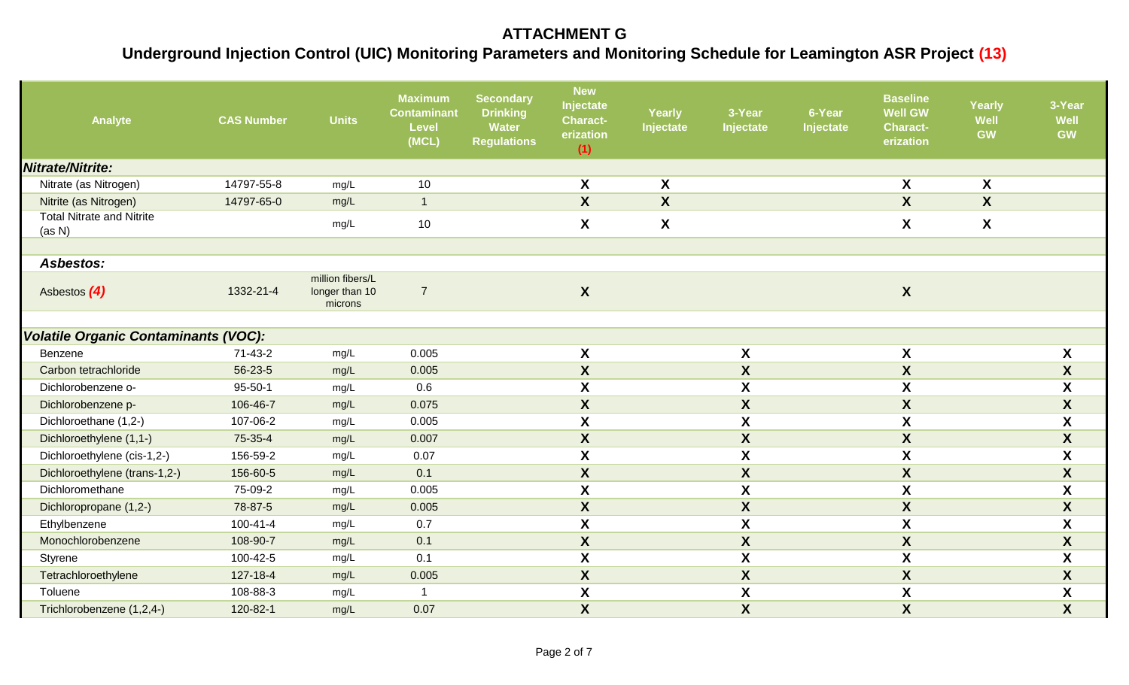| Analyte                                     | <b>CAS Number</b> | <b>Units</b>                                  | <b>Maximum</b><br><b>Contaminant</b><br><b>Level</b><br>(MCL) | <b>Secondary</b><br><b>Drinking</b><br><b>Water</b><br><b>Regulations</b> | <b>New</b><br>Injectate<br><b>Charact-</b><br>erization<br>(1) | <b>Yearly</b><br>Injectate | 3-Year<br>Injectate       | 6-Year<br>Injectate | <b>Baseline</b><br><b>Well GW</b><br><b>Charact-</b><br>erization | Yearly<br>Well<br>GW | 3-Year<br>Well<br><b>GW</b> |
|---------------------------------------------|-------------------|-----------------------------------------------|---------------------------------------------------------------|---------------------------------------------------------------------------|----------------------------------------------------------------|----------------------------|---------------------------|---------------------|-------------------------------------------------------------------|----------------------|-----------------------------|
| Nitrate/Nitrite:                            |                   |                                               |                                                               |                                                                           |                                                                |                            |                           |                     |                                                                   |                      |                             |
| Nitrate (as Nitrogen)                       | 14797-55-8        | mg/L                                          | 10                                                            |                                                                           | X                                                              | X                          |                           |                     | X                                                                 | X                    |                             |
| Nitrite (as Nitrogen)                       | 14797-65-0        | mg/L                                          | $\overline{\phantom{a}}$                                      |                                                                           | $\boldsymbol{X}$                                               | $\boldsymbol{\mathsf{X}}$  |                           |                     | $\overline{\mathbf{X}}$                                           | $\boldsymbol{X}$     |                             |
| <b>Total Nitrate and Nitrite</b><br>(as N)  |                   | mg/L                                          | 10                                                            |                                                                           | X                                                              | $\pmb{\mathsf{X}}$         |                           |                     | X                                                                 | X                    |                             |
| <b>Asbestos:</b>                            |                   |                                               |                                                               |                                                                           |                                                                |                            |                           |                     |                                                                   |                      |                             |
| Asbestos (4)                                | 1332-21-4         | million fibers/L<br>longer than 10<br>microns | $\overline{7}$                                                |                                                                           | $\boldsymbol{X}$                                               |                            |                           |                     | $\boldsymbol{X}$                                                  |                      |                             |
| <b>Volatile Organic Contaminants (VOC):</b> |                   |                                               |                                                               |                                                                           |                                                                |                            |                           |                     |                                                                   |                      |                             |
| Benzene                                     | $71 - 43 - 2$     | mg/L                                          | 0.005                                                         |                                                                           | $\pmb{\mathsf{X}}$                                             |                            | $\pmb{\mathsf{X}}$        |                     | $\pmb{\mathsf{X}}$                                                |                      | $\boldsymbol{\mathsf{X}}$   |
| Carbon tetrachloride                        | 56-23-5           | mg/L                                          | 0.005                                                         |                                                                           | $\boldsymbol{X}$                                               |                            | $\pmb{\mathsf{X}}$        |                     | $\boldsymbol{X}$                                                  |                      | $\boldsymbol{X}$            |
| Dichlorobenzene o-                          | $95 - 50 - 1$     | mg/L                                          | 0.6                                                           |                                                                           | $\boldsymbol{X}$                                               |                            | X                         |                     | $\boldsymbol{X}$                                                  |                      | $\mathsf{X}$                |
| Dichlorobenzene p-                          | 106-46-7          | mg/L                                          | 0.075                                                         |                                                                           | $\boldsymbol{\mathsf{X}}$                                      |                            | $\boldsymbol{X}$          |                     | $\boldsymbol{X}$                                                  |                      | $\mathsf{X}$                |
| Dichloroethane (1,2-)                       | 107-06-2          | mg/L                                          | 0.005                                                         |                                                                           | $\boldsymbol{X}$                                               |                            | $\pmb{\mathsf{X}}$        |                     | $\boldsymbol{X}$                                                  |                      | $\boldsymbol{\mathsf{X}}$   |
| Dichloroethylene (1,1-)                     | 75-35-4           | mg/L                                          | 0.007                                                         |                                                                           | $\boldsymbol{X}$                                               |                            | $\boldsymbol{X}$          |                     | $\boldsymbol{X}$                                                  |                      | $\pmb{\mathsf{X}}$          |
| Dichloroethylene (cis-1,2-)                 | 156-59-2          | mg/L                                          | 0.07                                                          |                                                                           | $\boldsymbol{X}$                                               |                            | $\boldsymbol{X}$          |                     | $\boldsymbol{\mathsf{X}}$                                         |                      | X                           |
| Dichloroethylene (trans-1,2-)               | 156-60-5          | mg/L                                          | 0.1                                                           |                                                                           | $\boldsymbol{X}$                                               |                            | $\boldsymbol{X}$          |                     | X                                                                 |                      | $\boldsymbol{X}$            |
| Dichloromethane                             | 75-09-2           | mg/L                                          | 0.005                                                         |                                                                           | $\boldsymbol{\mathsf{X}}$                                      |                            | $\boldsymbol{\mathsf{X}}$ |                     | $\boldsymbol{\mathsf{X}}$                                         |                      | X                           |
| Dichloropropane (1,2-)                      | 78-87-5           | mg/L                                          | 0.005                                                         |                                                                           | $\boldsymbol{X}$                                               |                            | $\pmb{\mathsf{X}}$        |                     | $\boldsymbol{X}$                                                  |                      | $\mathsf{X}$                |
| Ethylbenzene                                | $100 - 41 - 4$    | mg/L                                          | 0.7                                                           |                                                                           | $\boldsymbol{X}$                                               |                            | $\boldsymbol{\mathsf{X}}$ |                     | $\boldsymbol{\mathsf{X}}$                                         |                      | $\boldsymbol{\mathsf{X}}$   |
| Monochlorobenzene                           | 108-90-7          | mg/L                                          | 0.1                                                           |                                                                           | $\boldsymbol{\mathsf{X}}$                                      |                            | $\boldsymbol{X}$          |                     | $\boldsymbol{X}$                                                  |                      | $\mathsf{X}$                |
| Styrene                                     | 100-42-5          | mg/L                                          | 0.1                                                           |                                                                           | $\boldsymbol{X}$                                               |                            | X                         |                     | $\boldsymbol{X}$                                                  |                      | X                           |
| Tetrachloroethylene                         | 127-18-4          | mg/L                                          | 0.005                                                         |                                                                           | $\boldsymbol{X}$                                               |                            | X                         |                     | $\boldsymbol{X}$                                                  |                      | $\boldsymbol{\mathsf{X}}$   |
| Toluene                                     | 108-88-3          | mg/L                                          |                                                               |                                                                           | X                                                              |                            | $\pmb{\mathsf{X}}$        |                     | $\boldsymbol{X}$                                                  |                      | X                           |
| Trichlorobenzene (1,2,4-)                   | 120-82-1          | mg/L                                          | 0.07                                                          |                                                                           | $\boldsymbol{X}$                                               |                            | $\boldsymbol{X}$          |                     | $\pmb{\mathsf{X}}$                                                |                      | $\boldsymbol{X}$            |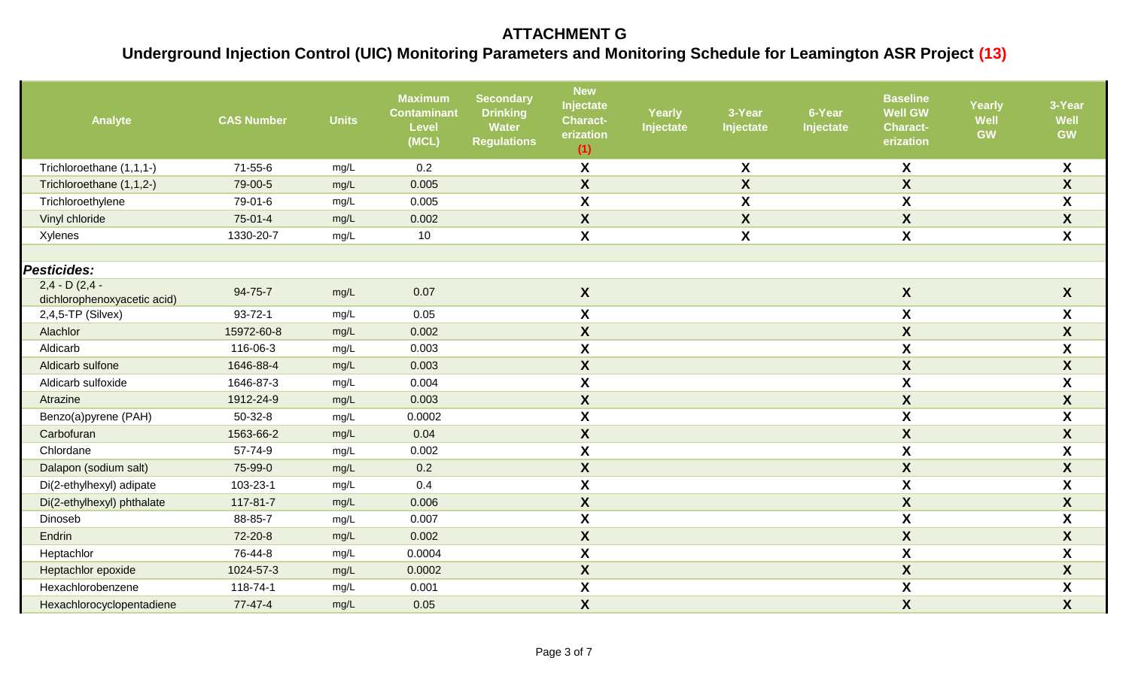| Analyte                                         | <b>CAS Number</b> | <b>Units</b> | <b>Maximum</b><br><b>Contaminant</b><br><b>Level</b><br>(MCL) | <b>Secondary</b><br><b>Drinking</b><br><b>Water</b><br><b>Regulations</b> | <b>New</b><br>Injectate<br><b>Charact-</b><br>erization<br>(1) | <b>Yearly</b><br>Injectate | 3-Year<br>Injectate | 6-Year<br>Injectate | <b>Baseline</b><br><b>Well GW</b><br><b>Charact-</b><br>erization | <b>Yearly</b><br>Well<br><b>GW</b> | 3-Year<br>Well<br><b>GW</b> |
|-------------------------------------------------|-------------------|--------------|---------------------------------------------------------------|---------------------------------------------------------------------------|----------------------------------------------------------------|----------------------------|---------------------|---------------------|-------------------------------------------------------------------|------------------------------------|-----------------------------|
| Trichloroethane (1,1,1-)                        | 71-55-6           | mg/L         | 0.2                                                           |                                                                           | X                                                              |                            | X                   |                     | X                                                                 |                                    | X                           |
| Trichloroethane (1,1,2-)                        | 79-00-5           | mg/L         | 0.005                                                         |                                                                           | $\boldsymbol{X}$                                               |                            | $\boldsymbol{X}$    |                     | X                                                                 |                                    | $\boldsymbol{X}$            |
| Trichloroethylene                               | 79-01-6           | mg/L         | 0.005                                                         |                                                                           | $\boldsymbol{X}$                                               |                            | X                   |                     | $\pmb{\mathsf{X}}$                                                |                                    | $\boldsymbol{X}$            |
| Vinyl chloride                                  | 75-01-4           | mg/L         | 0.002                                                         |                                                                           | $\boldsymbol{X}$                                               |                            | $\pmb{\mathsf{X}}$  |                     | $\pmb{\mathsf{X}}$                                                |                                    | $\pmb{\mathsf{X}}$          |
| Xylenes                                         | 1330-20-7         | mg/L         | 10                                                            |                                                                           | $\boldsymbol{\mathsf{X}}$                                      |                            | X                   |                     | $\pmb{\mathsf{X}}$                                                |                                    | $\overline{\mathbf{X}}$     |
|                                                 |                   |              |                                                               |                                                                           |                                                                |                            |                     |                     |                                                                   |                                    |                             |
| <b>Pesticides:</b>                              |                   |              |                                                               |                                                                           |                                                                |                            |                     |                     |                                                                   |                                    |                             |
| $2,4 - D (2,4 -$<br>dichlorophenoxyacetic acid) | 94-75-7           | mg/L         | 0.07                                                          |                                                                           | $\boldsymbol{X}$                                               |                            |                     |                     | $\boldsymbol{X}$                                                  |                                    | X                           |
| $2,4,5$ -TP (Silvex)                            | $93 - 72 - 1$     | mg/L         | 0.05                                                          |                                                                           | X                                                              |                            |                     |                     | $\boldsymbol{\mathsf{X}}$                                         |                                    | X                           |
| Alachlor                                        | 15972-60-8        | mg/L         | 0.002                                                         |                                                                           | $\boldsymbol{X}$                                               |                            |                     |                     | $\pmb{\mathsf{X}}$                                                |                                    | $\mathsf{X}$                |
| Aldicarb                                        | 116-06-3          | mg/L         | 0.003                                                         |                                                                           | X                                                              |                            |                     |                     | X                                                                 |                                    | X                           |
| Aldicarb sulfone                                | 1646-88-4         | mg/L         | 0.003                                                         |                                                                           | $\boldsymbol{X}$                                               |                            |                     |                     | $\pmb{\mathsf{X}}$                                                |                                    | $\mathbf{X}$                |
| Aldicarb sulfoxide                              | 1646-87-3         | mg/L         | 0.004                                                         |                                                                           | $\boldsymbol{X}$                                               |                            |                     |                     | $\pmb{\mathsf{X}}$                                                |                                    | X                           |
| Atrazine                                        | 1912-24-9         | mg/L         | 0.003                                                         |                                                                           | $\boldsymbol{X}$                                               |                            |                     |                     | $\boldsymbol{X}$                                                  |                                    | $\boldsymbol{X}$            |
| Benzo(a)pyrene (PAH)                            | $50 - 32 - 8$     | mg/L         | 0.0002                                                        |                                                                           | X                                                              |                            |                     |                     | $\pmb{\mathsf{X}}$                                                |                                    | $\boldsymbol{X}$            |
| Carbofuran                                      | 1563-66-2         | mg/L         | 0.04                                                          |                                                                           | $\boldsymbol{X}$                                               |                            |                     |                     | $\pmb{\mathsf{X}}$                                                |                                    | $\mathsf{X}$                |
| Chlordane                                       | 57-74-9           | mg/L         | 0.002                                                         |                                                                           | X                                                              |                            |                     |                     | X                                                                 |                                    | X                           |
| Dalapon (sodium salt)                           | 75-99-0           | mg/L         | 0.2                                                           |                                                                           | $\boldsymbol{X}$                                               |                            |                     |                     | $\pmb{\mathsf{X}}$                                                |                                    | $\pmb{\mathsf{X}}$          |
| Di(2-ethylhexyl) adipate                        | 103-23-1          | mg/L         | 0.4                                                           |                                                                           | $\boldsymbol{X}$                                               |                            |                     |                     | $\pmb{\mathsf{X}}$                                                |                                    | $\pmb{\mathsf{X}}$          |
| Di(2-ethylhexyl) phthalate                      | 117-81-7          | mg/L         | 0.006                                                         |                                                                           | $\boldsymbol{X}$                                               |                            |                     |                     | $\overline{\textbf{X}}$                                           |                                    | $\overline{\mathbf{X}}$     |
| Dinoseb                                         | 88-85-7           | mg/L         | 0.007                                                         |                                                                           | X                                                              |                            |                     |                     | X                                                                 |                                    | X                           |
| Endrin                                          | 72-20-8           | mg/L         | 0.002                                                         |                                                                           | $\boldsymbol{X}$                                               |                            |                     |                     | $\pmb{\mathsf{X}}$                                                |                                    | $\mathsf{X}$                |
| Heptachlor                                      | 76-44-8           | mg/L         | 0.0004                                                        |                                                                           | $\boldsymbol{\mathsf{X}}$                                      |                            |                     |                     | $\pmb{\mathsf{X}}$                                                |                                    | $\boldsymbol{X}$            |
| Heptachlor epoxide                              | 1024-57-3         | mg/L         | 0.0002                                                        |                                                                           | $\boldsymbol{X}$                                               |                            |                     |                     | $\boldsymbol{X}$                                                  |                                    | $\boldsymbol{X}$            |
| Hexachlorobenzene                               | 118-74-1          | mg/L         | 0.001                                                         |                                                                           | $\boldsymbol{\mathsf{X}}$                                      |                            |                     |                     | $\pmb{\mathsf{X}}$                                                |                                    | X                           |
| Hexachlorocyclopentadiene                       | $77-47-4$         | mg/L         | 0.05                                                          |                                                                           | $\boldsymbol{\mathsf{X}}$                                      |                            |                     |                     | $\boldsymbol{X}$                                                  |                                    | X                           |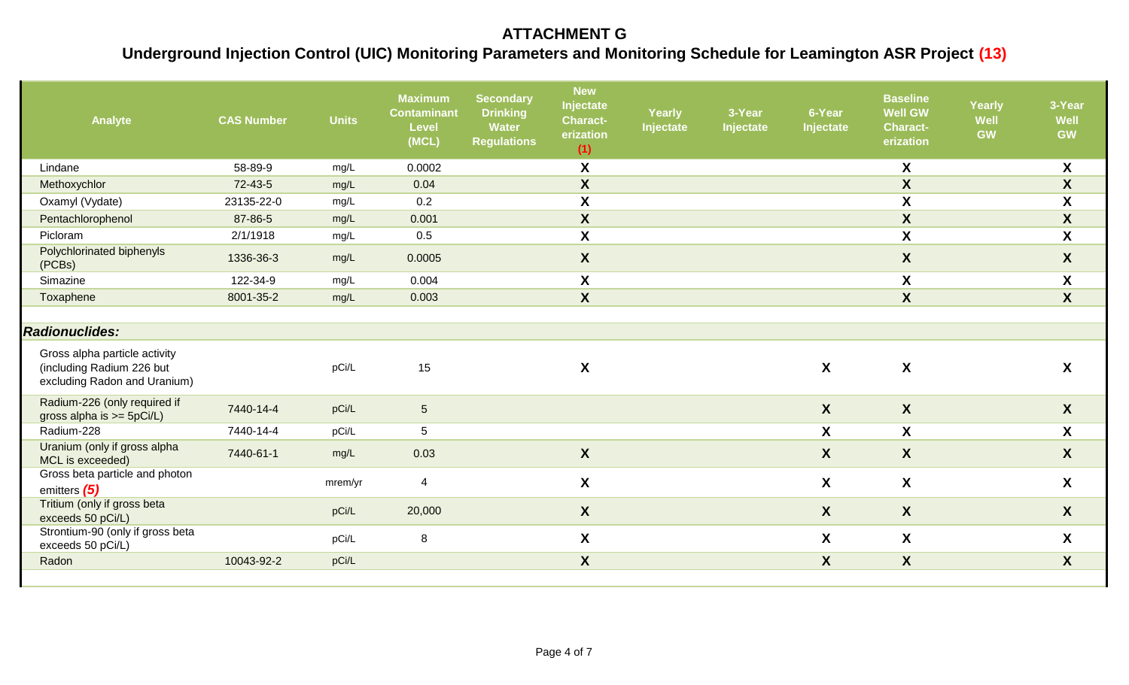| Analyte                                                                                    | <b>CAS Number</b> | <b>Units</b> | <b>Maximum</b><br><b>Contaminant</b><br><b>Level</b><br>(MCL) | <b>Secondary</b><br><b>Drinking</b><br>Water<br><b>Regulations</b> | <b>New</b><br>Injectate<br><b>Charact-</b><br>erization<br>(1) | Yearly<br>Injectate | 3-Year<br>Injectate | 6-Year<br>Injectate       | <b>Baseline</b><br><b>Well GW</b><br><b>Charact-</b><br>erization | Yearly<br><b>Well</b><br><b>GW</b> | 3-Year<br>Well<br><b>GW</b> |
|--------------------------------------------------------------------------------------------|-------------------|--------------|---------------------------------------------------------------|--------------------------------------------------------------------|----------------------------------------------------------------|---------------------|---------------------|---------------------------|-------------------------------------------------------------------|------------------------------------|-----------------------------|
| Lindane                                                                                    | 58-89-9           | mg/L         | 0.0002                                                        |                                                                    | X                                                              |                     |                     |                           | X                                                                 |                                    | X                           |
| Methoxychlor                                                                               | 72-43-5           | mg/L         | 0.04                                                          |                                                                    | $\boldsymbol{X}$                                               |                     |                     |                           | $\mathsf{X}$                                                      |                                    | X                           |
| Oxamyl (Vydate)                                                                            | 23135-22-0        | mg/L         | 0.2                                                           |                                                                    | X                                                              |                     |                     |                           | $\boldsymbol{X}$                                                  |                                    | $\boldsymbol{\mathsf{X}}$   |
| Pentachlorophenol                                                                          | 87-86-5           | mg/L         | 0.001                                                         |                                                                    | $\boldsymbol{X}$                                               |                     |                     |                           | $\mathsf{X}$                                                      |                                    | X                           |
| Picloram                                                                                   | 2/1/1918          | mg/L         | 0.5                                                           |                                                                    | $\boldsymbol{X}$                                               |                     |                     |                           | $\overline{\mathbf{X}}$                                           |                                    | $\boldsymbol{\mathsf{X}}$   |
| Polychlorinated biphenyls<br>(PCBs)                                                        | 1336-36-3         | mg/L         | 0.0005                                                        |                                                                    | $\boldsymbol{X}$                                               |                     |                     |                           | $\mathsf{X}$                                                      |                                    | X                           |
| Simazine                                                                                   | 122-34-9          | mg/L         | 0.004                                                         |                                                                    | $\boldsymbol{\mathsf{X}}$                                      |                     |                     |                           | X                                                                 |                                    | X                           |
| Toxaphene                                                                                  | 8001-35-2         | mg/L         | 0.003                                                         |                                                                    | $\boldsymbol{X}$                                               |                     |                     |                           | $\overline{\mathbf{X}}$                                           |                                    | $\boldsymbol{X}$            |
| <b>Radionuclides:</b>                                                                      |                   |              |                                                               |                                                                    |                                                                |                     |                     |                           |                                                                   |                                    |                             |
| Gross alpha particle activity<br>(including Radium 226 but<br>excluding Radon and Uranium) |                   | pCi/L        | 15                                                            |                                                                    | $\boldsymbol{X}$                                               |                     |                     | $\boldsymbol{X}$          | X                                                                 |                                    | X                           |
| Radium-226 (only required if<br>gross alpha is $>=$ 5pCi/L)                                | 7440-14-4         | pCi/L        | $5\phantom{.0}$                                               |                                                                    |                                                                |                     |                     | $\boldsymbol{X}$          | $\boldsymbol{X}$                                                  |                                    | X                           |
| Radium-228                                                                                 | 7440-14-4         | pCi/L        | 5                                                             |                                                                    |                                                                |                     |                     | $\boldsymbol{\mathsf{X}}$ | $\boldsymbol{X}$                                                  |                                    | X                           |
| Uranium (only if gross alpha<br>MCL is exceeded)                                           | 7440-61-1         | mg/L         | 0.03                                                          |                                                                    | $\boldsymbol{X}$                                               |                     |                     | $\boldsymbol{X}$          | X                                                                 |                                    | $\boldsymbol{X}$            |
| Gross beta particle and photon<br>emitters (5)                                             |                   | mrem/yr      | 4                                                             |                                                                    | $\boldsymbol{X}$                                               |                     |                     | $\boldsymbol{X}$          | X                                                                 |                                    | X                           |
| Tritium (only if gross beta<br>exceeds 50 pCi/L)                                           |                   | pCi/L        | 20,000                                                        |                                                                    | $\boldsymbol{X}$                                               |                     |                     | $\boldsymbol{X}$          | $\mathsf{X}$                                                      |                                    | $\boldsymbol{X}$            |
| Strontium-90 (only if gross beta<br>exceeds 50 pCi/L)                                      |                   | pCi/L        | 8                                                             |                                                                    | $\boldsymbol{X}$                                               |                     |                     | $\boldsymbol{\mathsf{X}}$ | X                                                                 |                                    | X                           |
| Radon                                                                                      | 10043-92-2        | pCi/L        |                                                               |                                                                    | $\boldsymbol{X}$                                               |                     |                     | $\boldsymbol{X}$          | $\mathsf{X}$                                                      |                                    | X                           |
|                                                                                            |                   |              |                                                               |                                                                    |                                                                |                     |                     |                           |                                                                   |                                    |                             |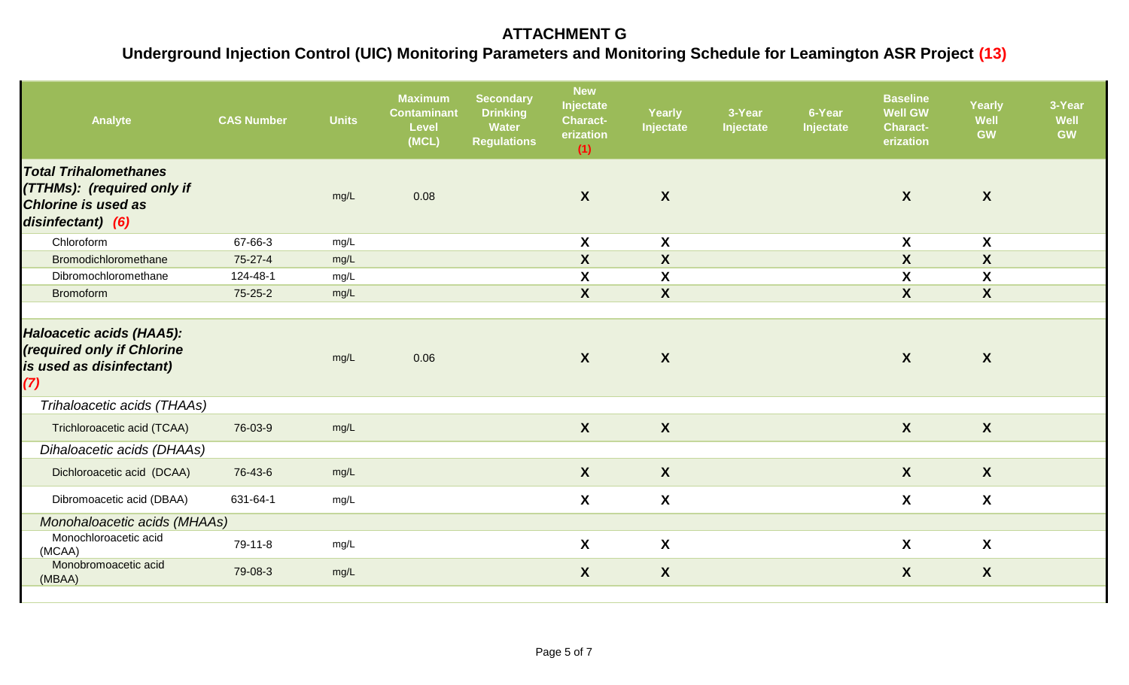| Analyte                                                                                                       | <b>CAS Number</b> | <b>Units</b> | <b>Maximum</b><br><b>Contaminant</b><br><b>Level</b><br>(MCL) | <b>Secondary</b><br><b>Drinking</b><br>Water<br><b>Regulations</b> | <b>New</b><br>Injectate<br><b>Charact-</b><br>erization<br>(1) | Yearly<br>Injectate       | 3-Year<br>Injectate | 6-Year<br>Injectate | <b>Baseline</b><br><b>Well GW</b><br><b>Charact-</b><br>erization | Yearly<br>Well<br><b>GW</b> | 3-Year<br>Well<br><b>GW</b> |
|---------------------------------------------------------------------------------------------------------------|-------------------|--------------|---------------------------------------------------------------|--------------------------------------------------------------------|----------------------------------------------------------------|---------------------------|---------------------|---------------------|-------------------------------------------------------------------|-----------------------------|-----------------------------|
| <b>Total Trihalomethanes</b><br>(TTHMs): (required only if<br><b>Chlorine is used as</b><br>disinfectant) (6) |                   | mg/L         | 0.08                                                          |                                                                    | $\mathsf{X}$                                                   | $\boldsymbol{X}$          |                     |                     | $\boldsymbol{X}$                                                  | $\boldsymbol{X}$            |                             |
| Chloroform                                                                                                    | 67-66-3           | mg/L         |                                                               |                                                                    | X                                                              | X                         |                     |                     | X                                                                 | X                           |                             |
| Bromodichloromethane                                                                                          | 75-27-4           | mg/L         |                                                               |                                                                    | $\boldsymbol{X}$                                               | $\boldsymbol{X}$          |                     |                     | $\boldsymbol{X}$                                                  | $\boldsymbol{X}$            |                             |
| Dibromochloromethane                                                                                          | 124-48-1          | mg/L         |                                                               |                                                                    | $\boldsymbol{\mathsf{X}}$                                      | X                         |                     |                     | $\boldsymbol{\mathsf{X}}$                                         | $\boldsymbol{\mathsf{X}}$   |                             |
| <b>Bromoform</b>                                                                                              | $75 - 25 - 2$     | mg/L         |                                                               |                                                                    | $\mathsf{X}$                                                   | $\boldsymbol{X}$          |                     |                     | $\boldsymbol{X}$                                                  | $\boldsymbol{X}$            |                             |
| Haloacetic acids (HAA5):<br>(required only if Chlorine<br>is used as disinfectant)<br>(7)                     |                   | mg/L         | 0.06                                                          |                                                                    | $\mathsf{X}$                                                   | $\boldsymbol{X}$          |                     |                     | $\boldsymbol{X}$                                                  | $\boldsymbol{X}$            |                             |
| Trihaloacetic acids (THAAs)                                                                                   |                   |              |                                                               |                                                                    |                                                                |                           |                     |                     |                                                                   |                             |                             |
| Trichloroacetic acid (TCAA)                                                                                   | 76-03-9           | mg/L         |                                                               |                                                                    | $\mathsf{X}$                                                   | $\boldsymbol{X}$          |                     |                     | $\boldsymbol{X}$                                                  | $\boldsymbol{X}$            |                             |
| Dihaloacetic acids (DHAAs)                                                                                    |                   |              |                                                               |                                                                    |                                                                |                           |                     |                     |                                                                   |                             |                             |
| Dichloroacetic acid (DCAA)                                                                                    | 76-43-6           | mg/L         |                                                               |                                                                    | $\mathsf{X}$                                                   | $\boldsymbol{X}$          |                     |                     | $\mathsf{X}$                                                      | $\boldsymbol{X}$            |                             |
| Dibromoacetic acid (DBAA)                                                                                     | 631-64-1          | mg/L         |                                                               |                                                                    | X                                                              | $\boldsymbol{\mathsf{X}}$ |                     |                     | $\mathsf{X}$                                                      | $\boldsymbol{X}$            |                             |
| Monohaloacetic acids (MHAAs)                                                                                  |                   |              |                                                               |                                                                    |                                                                |                           |                     |                     |                                                                   |                             |                             |
| Monochloroacetic acid<br>(MCAA)                                                                               | 79-11-8           | mg/L         |                                                               |                                                                    | X                                                              | X                         |                     |                     | X                                                                 | $\boldsymbol{X}$            |                             |
| Monobromoacetic acid<br>(MBAA)                                                                                | 79-08-3           | mg/L         |                                                               |                                                                    | $\boldsymbol{X}$                                               | $\boldsymbol{X}$          |                     |                     | $\boldsymbol{X}$                                                  | $\boldsymbol{X}$            |                             |
|                                                                                                               |                   |              |                                                               |                                                                    |                                                                |                           |                     |                     |                                                                   |                             |                             |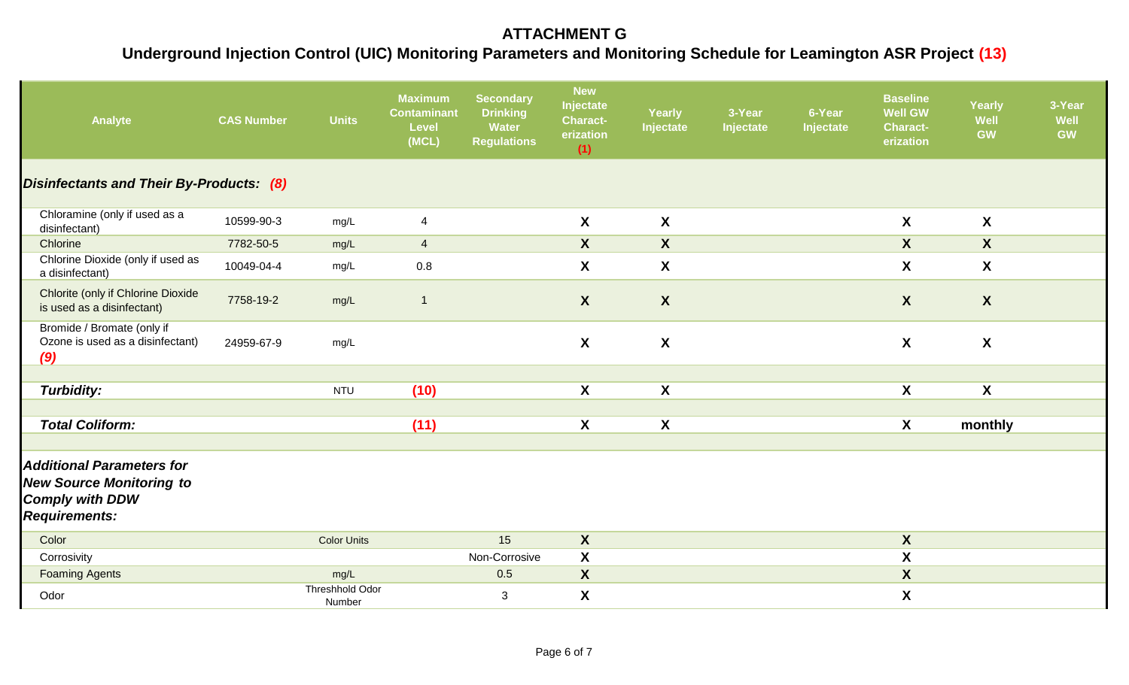| Analyte                                                                                                               | <b>CAS Number</b> | <b>Units</b>                     | <b>Maximum</b><br><b>Contaminant</b><br><b>Level</b><br>(MCL) | <b>Secondary</b><br><b>Drinking</b><br>Water<br><b>Regulations</b> | <b>New</b><br>Injectate<br><b>Charact-</b><br>erization<br>(1) | Yearly<br>Injectate | 3-Year<br>Injectate | 6-Year<br>Injectate | <b>Baseline</b><br><b>Well GW</b><br><b>Charact-</b><br>erization | Yearly<br><b>Well</b><br><b>GW</b> | 3-Year<br>Well<br><b>GW</b> |
|-----------------------------------------------------------------------------------------------------------------------|-------------------|----------------------------------|---------------------------------------------------------------|--------------------------------------------------------------------|----------------------------------------------------------------|---------------------|---------------------|---------------------|-------------------------------------------------------------------|------------------------------------|-----------------------------|
| Disinfectants and Their By-Products: (8)                                                                              |                   |                                  |                                                               |                                                                    |                                                                |                     |                     |                     |                                                                   |                                    |                             |
| Chloramine (only if used as a<br>disinfectant)                                                                        | 10599-90-3        | mg/L                             | 4                                                             |                                                                    | $\mathsf{X}$                                                   | $\boldsymbol{X}$    |                     |                     | $\boldsymbol{X}$                                                  | $\boldsymbol{X}$                   |                             |
| Chlorine                                                                                                              | 7782-50-5         | mg/L                             | $\overline{4}$                                                |                                                                    | $\mathsf{X}$                                                   | $\boldsymbol{X}$    |                     |                     | $\mathsf{X}$                                                      | $\boldsymbol{X}$                   |                             |
| Chlorine Dioxide (only if used as<br>a disinfectant)                                                                  | 10049-04-4        | mg/L                             | 0.8                                                           |                                                                    | $\mathsf{X}$                                                   | X                   |                     |                     | $\mathsf{X}$                                                      | $\boldsymbol{X}$                   |                             |
| Chlorite (only if Chlorine Dioxide<br>is used as a disinfectant)                                                      | 7758-19-2         | mg/L                             | $\overline{1}$                                                |                                                                    | $\mathsf{X}$                                                   | $\boldsymbol{X}$    |                     |                     | $\boldsymbol{X}$                                                  | $\boldsymbol{X}$                   |                             |
| Bromide / Bromate (only if<br>Ozone is used as a disinfectant)<br>(9)                                                 | 24959-67-9        | mg/L                             |                                                               |                                                                    | $\mathsf{X}$                                                   | $\boldsymbol{X}$    |                     |                     | $\boldsymbol{X}$                                                  | $\boldsymbol{X}$                   |                             |
|                                                                                                                       |                   |                                  |                                                               |                                                                    |                                                                |                     |                     |                     |                                                                   |                                    |                             |
| <b>Turbidity:</b>                                                                                                     |                   | <b>NTU</b>                       | (10)                                                          |                                                                    | X                                                              | X                   |                     |                     | X                                                                 | $\boldsymbol{X}$                   |                             |
| <b>Total Coliform:</b>                                                                                                |                   |                                  | (11)                                                          |                                                                    | X                                                              | X                   |                     |                     | $\boldsymbol{X}$                                                  | monthly                            |                             |
|                                                                                                                       |                   |                                  |                                                               |                                                                    |                                                                |                     |                     |                     |                                                                   |                                    |                             |
| <b>Additional Parameters for</b><br><b>New Source Monitoring to</b><br><b>Comply with DDW</b><br><b>Requirements:</b> |                   |                                  |                                                               |                                                                    |                                                                |                     |                     |                     |                                                                   |                                    |                             |
| Color                                                                                                                 |                   | <b>Color Units</b>               |                                                               | 15                                                                 | $\boldsymbol{X}$                                               |                     |                     |                     | $\boldsymbol{X}$                                                  |                                    |                             |
| Corrosivity                                                                                                           |                   |                                  |                                                               | Non-Corrosive                                                      | $\mathbf{x}$                                                   |                     |                     |                     | $\overline{\mathbf{X}}$                                           |                                    |                             |
| <b>Foaming Agents</b>                                                                                                 |                   | mg/L                             |                                                               | 0.5                                                                | $\boldsymbol{X}$                                               |                     |                     |                     | $\boldsymbol{X}$                                                  |                                    |                             |
| Odor                                                                                                                  |                   | <b>Threshhold Odor</b><br>Number |                                                               | 3                                                                  | X                                                              |                     |                     |                     | $\boldsymbol{\mathsf{X}}$                                         |                                    |                             |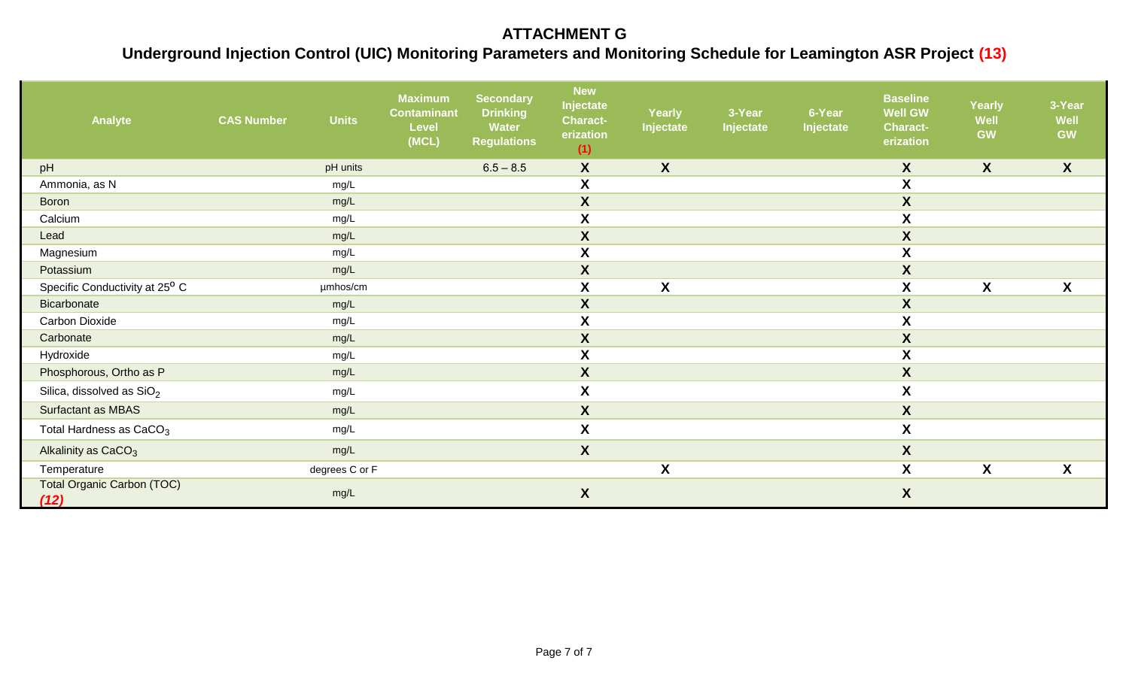| Analyte                                    | <b>Units</b><br><b>CAS Number</b> | <b>Maximum</b><br><b>Contaminant</b><br><b>Level</b><br>(MCL) | <b>Secondary</b><br><b>Drinking</b><br>Water<br><b>Regulations</b> | <b>New</b><br>Injectate<br><b>Charact-</b><br>erization<br>(1) | <b>Yearly</b><br>Injectate | 3-Year<br>Injectate | 6-Year<br>Injectate | <b>Baseline</b><br><b>Well GW</b><br><b>Charact-</b><br>erization | <b>Yearly</b><br>Well<br><b>GW</b> | 3-Year<br>Well<br><b>GW</b> |
|--------------------------------------------|-----------------------------------|---------------------------------------------------------------|--------------------------------------------------------------------|----------------------------------------------------------------|----------------------------|---------------------|---------------------|-------------------------------------------------------------------|------------------------------------|-----------------------------|
| pH                                         | pH units                          |                                                               | $6.5 - 8.5$                                                        | $\boldsymbol{X}$                                               | $\boldsymbol{X}$           |                     |                     | $\boldsymbol{X}$                                                  | $\boldsymbol{X}$                   | $\boldsymbol{X}$            |
| Ammonia, as N                              | mg/L                              |                                                               |                                                                    | X                                                              |                            |                     |                     | $\boldsymbol{\mathsf{X}}$                                         |                                    |                             |
| <b>Boron</b>                               | mg/L                              |                                                               |                                                                    | $\boldsymbol{X}$                                               |                            |                     |                     | $\boldsymbol{X}$                                                  |                                    |                             |
| Calcium                                    | mg/L                              |                                                               |                                                                    | $\boldsymbol{X}$                                               |                            |                     |                     | $\boldsymbol{X}$                                                  |                                    |                             |
| Lead                                       | mg/L                              |                                                               |                                                                    | $\boldsymbol{X}$                                               |                            |                     |                     | $\mathsf{X}$                                                      |                                    |                             |
| Magnesium                                  | mg/L                              |                                                               |                                                                    | $\boldsymbol{X}$                                               |                            |                     |                     | X                                                                 |                                    |                             |
| Potassium                                  | mg/L                              |                                                               |                                                                    | $\pmb{\mathsf{X}}$                                             |                            |                     |                     | $\boldsymbol{X}$                                                  |                                    |                             |
| Specific Conductivity at 25 <sup>0</sup> C | umhos/cm                          |                                                               |                                                                    | X                                                              | X                          |                     |                     | X                                                                 | X                                  | X                           |
| <b>Bicarbonate</b>                         | mg/L                              |                                                               |                                                                    | $\boldsymbol{X}$                                               |                            |                     |                     | $\mathsf{X}$                                                      |                                    |                             |
| <b>Carbon Dioxide</b>                      | mg/L                              |                                                               |                                                                    | $\boldsymbol{\mathsf{X}}$                                      |                            |                     |                     | $\boldsymbol{X}$                                                  |                                    |                             |
| Carbonate                                  | mg/L                              |                                                               |                                                                    | $\boldsymbol{X}$                                               |                            |                     |                     | $\boldsymbol{X}$                                                  |                                    |                             |
| Hydroxide                                  | mg/L                              |                                                               |                                                                    | X                                                              |                            |                     |                     | $\pmb{\mathsf{X}}$                                                |                                    |                             |
| Phosphorous, Ortho as P                    | mg/L                              |                                                               |                                                                    | $\boldsymbol{X}$                                               |                            |                     |                     | $\mathbf{X}$                                                      |                                    |                             |
| Silica, dissolved as $SiO2$                | mg/L                              |                                                               |                                                                    | $\pmb{\mathsf{X}}$                                             |                            |                     |                     | X                                                                 |                                    |                             |
| Surfactant as MBAS                         | mg/L                              |                                                               |                                                                    | $\boldsymbol{X}$                                               |                            |                     |                     | $\mathsf{X}$                                                      |                                    |                             |
| Total Hardness as CaCO <sub>3</sub>        | mg/L                              |                                                               |                                                                    | $\boldsymbol{\mathsf{X}}$                                      |                            |                     |                     | $\mathsf{X}$                                                      |                                    |                             |
| Alkalinity as CaCO <sub>3</sub>            | mg/L                              |                                                               |                                                                    | $\boldsymbol{X}$                                               |                            |                     |                     | $\mathsf{X}$                                                      |                                    |                             |
| Temperature                                | degrees C or F                    |                                                               |                                                                    |                                                                | $\boldsymbol{X}$           |                     |                     | X                                                                 | X                                  | X                           |
| <b>Total Organic Carbon (TOC)</b><br>(12)  | mg/L                              |                                                               |                                                                    | $\boldsymbol{X}$                                               |                            |                     |                     | X                                                                 |                                    |                             |